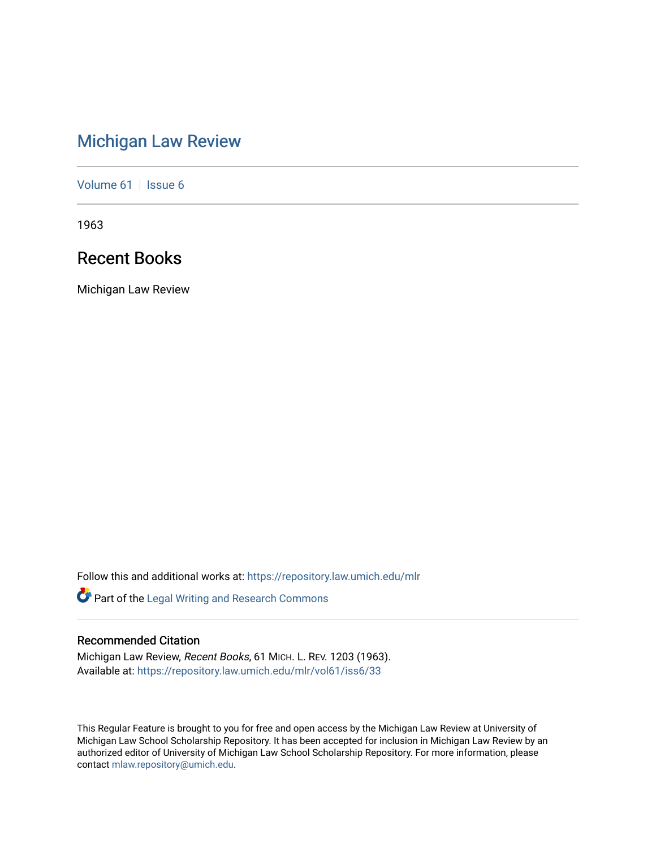# [Michigan Law Review](https://repository.law.umich.edu/mlr)

[Volume 61](https://repository.law.umich.edu/mlr/vol61) | [Issue 6](https://repository.law.umich.edu/mlr/vol61/iss6)

1963

## Recent Books

Michigan Law Review

Follow this and additional works at: [https://repository.law.umich.edu/mlr](https://repository.law.umich.edu/mlr?utm_source=repository.law.umich.edu%2Fmlr%2Fvol61%2Fiss6%2F33&utm_medium=PDF&utm_campaign=PDFCoverPages) 

Part of the [Legal Writing and Research Commons](http://network.bepress.com/hgg/discipline/614?utm_source=repository.law.umich.edu%2Fmlr%2Fvol61%2Fiss6%2F33&utm_medium=PDF&utm_campaign=PDFCoverPages) 

## Recommended Citation

Michigan Law Review, Recent Books, 61 MICH. L. REV. 1203 (1963). Available at: [https://repository.law.umich.edu/mlr/vol61/iss6/33](https://repository.law.umich.edu/mlr/vol61/iss6/33?utm_source=repository.law.umich.edu%2Fmlr%2Fvol61%2Fiss6%2F33&utm_medium=PDF&utm_campaign=PDFCoverPages) 

This Regular Feature is brought to you for free and open access by the Michigan Law Review at University of Michigan Law School Scholarship Repository. It has been accepted for inclusion in Michigan Law Review by an authorized editor of University of Michigan Law School Scholarship Repository. For more information, please contact [mlaw.repository@umich.edu](mailto:mlaw.repository@umich.edu).